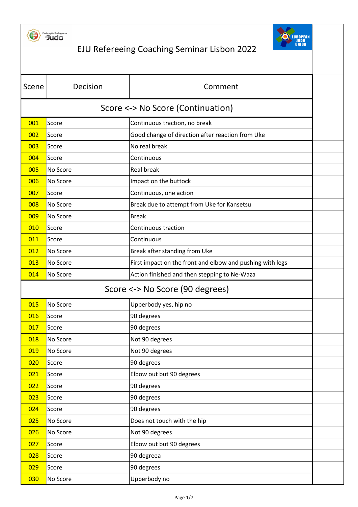



| Scene                             | Decision | Comment                                                   |  |
|-----------------------------------|----------|-----------------------------------------------------------|--|
| Score <-> No Score (Continuation) |          |                                                           |  |
| 001                               | Score    | Continuous traction, no break                             |  |
| 002                               | Score    | Good change of direction after reaction from Uke          |  |
| 003                               | Score    | No real break                                             |  |
| 004                               | Score    | Continuous                                                |  |
| 005                               | No Score | Real break                                                |  |
| 006                               | No Score | Impact on the buttock                                     |  |
| 007                               | Score    | Continuous, one action                                    |  |
| 008                               | No Score | Break due to attempt from Uke for Kansetsu                |  |
| 009                               | No Score | <b>Break</b>                                              |  |
| 010                               | Score    | Continuous traction                                       |  |
| 011                               | Score    | Continuous                                                |  |
| 012                               | No Score | Break after standing from Uke                             |  |
| 013                               | No Score | First impact on the front and elbow and pushing with legs |  |
| 014                               | No Score | Action finished and then stepping to Ne-Waza              |  |
| Score <-> No Score (90 degrees)   |          |                                                           |  |
| 015                               | No Score | Upperbody yes, hip no                                     |  |
| 016                               | Score    | 90 degrees                                                |  |
| 017                               | Score    | 90 degrees                                                |  |
| 018                               | No Score | Not 90 degrees                                            |  |
| 019                               | No Score | Not 90 degrees                                            |  |
| 020                               | Score    | 90 degrees                                                |  |
| 021                               | Score    | Elbow out but 90 degrees                                  |  |
| 022                               | Score    | 90 degrees                                                |  |
| 023                               | Score    | 90 degrees                                                |  |
| 024                               | Score    | 90 degrees                                                |  |
| 025                               | No Score | Does not touch with the hip                               |  |
| 026                               | No Score | Not 90 degrees                                            |  |
| 027                               | Score    | Elbow out but 90 degrees                                  |  |
| 028                               | Score    | 90 degreea                                                |  |
| 029                               | Score    | 90 degrees                                                |  |
| 030                               | No Score | Upperbody no                                              |  |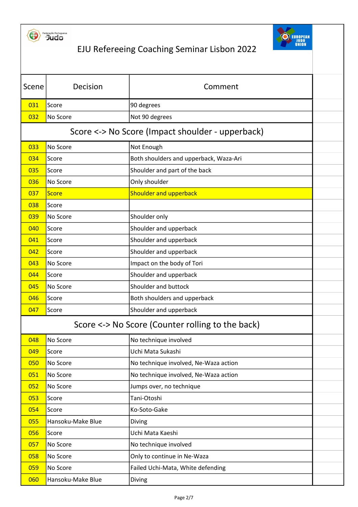



| Scene | Decision          | Comment                                          |  |
|-------|-------------------|--------------------------------------------------|--|
| 031   | Score             | 90 degrees                                       |  |
| 032   | No Score          | Not 90 degrees                                   |  |
|       |                   | Score <-> No Score (Impact shoulder - upperback) |  |
| 033   | No Score          | Not Enough                                       |  |
| 034   | Score             | Both shoulders and upperback, Waza-Ari           |  |
| 035   | Score             | Shoulder and part of the back                    |  |
| 036   | No Score          | Only shoulder                                    |  |
| 037   | Score             | <b>Shoulder and upperback</b>                    |  |
| 038   | Score             |                                                  |  |
| 039   | No Score          | Shoulder only                                    |  |
| 040   | Score             | Shoulder and upperback                           |  |
| 041   | Score             | Shoulder and upperback                           |  |
| 042   | Score             | Shoulder and upperback                           |  |
| 043   | No Score          | Impact on the body of Tori                       |  |
| 044   | Score             | Shoulder and upperback                           |  |
| 045   | No Score          | Shoulder and buttock                             |  |
| 046   | Score             | Both shoulders and upperback                     |  |
| 047   | Score             | Shoulder and upperback                           |  |
|       |                   | Score <-> No Score (Counter rolling to the back) |  |
| 048   | No Score          | No technique involved                            |  |
| 049   | Score             | Uchi Mata Sukashi                                |  |
| 050   | No Score          | No technique involved, Ne-Waza action            |  |
| 051   | No Score          | No technique involved, Ne-Waza action            |  |
| 052   | No Score          | Jumps over, no technique                         |  |
| 053   | Score             | Tani-Otoshi                                      |  |
| 054   | Score             | Ko-Soto-Gake                                     |  |
| 055   | Hansoku-Make Blue | Diving                                           |  |
| 056   | Score             | Uchi Mata Kaeshi                                 |  |
| 057   | No Score          | No technique involved                            |  |
| 058   | No Score          | Only to continue in Ne-Waza                      |  |
| 059   | No Score          | Failed Uchi-Mata, White defending                |  |
| 060   | Hansoku-Make Blue | Diving                                           |  |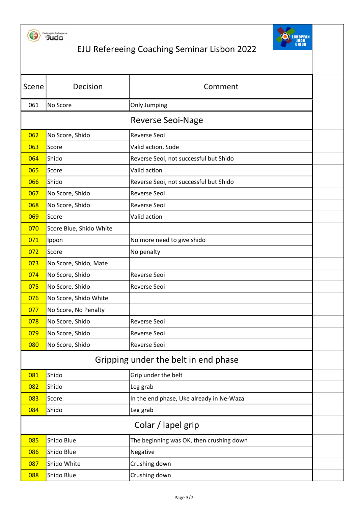



| Scene                    | Decision                | Comment                                  |  |
|--------------------------|-------------------------|------------------------------------------|--|
| 061                      | No Score                | <b>Only Jumping</b>                      |  |
| <b>Reverse Seoi-Nage</b> |                         |                                          |  |
| 062                      | No Score, Shido         | Reverse Seoi                             |  |
| 063                      | Score                   | Valid action, Sode                       |  |
| 064                      | Shido                   | Reverse Seoi, not successful but Shido   |  |
| 065                      | Score                   | Valid action                             |  |
| 066                      | Shido                   | Reverse Seoi, not successful but Shido   |  |
| 067                      | No Score, Shido         | <b>Reverse Seoi</b>                      |  |
| 068                      | No Score, Shido         | Reverse Seoi                             |  |
| 069                      | Score                   | Valid action                             |  |
| 070                      | Score Blue, Shido White |                                          |  |
| 071                      | Ippon                   | No more need to give shido               |  |
| 072                      | Score                   | No penalty                               |  |
| 073                      | No Score, Shido, Mate   |                                          |  |
| 074                      | No Score, Shido         | Reverse Seoi                             |  |
| 075                      | No Score, Shido         | <b>Reverse Seoi</b>                      |  |
| 076                      | No Score, Shido White   |                                          |  |
| 077                      | No Score, No Penalty    |                                          |  |
| 078                      | No Score, Shido         | Reverse Seoi                             |  |
| 079                      | No Score, Shido         | Reverse Seoi                             |  |
| 080                      | No Score, Shido         | Reverse Seoi                             |  |
|                          |                         | Gripping under the belt in end phase     |  |
| 081                      | Shido                   | Grip under the belt                      |  |
| 082                      | Shido                   | Leg grab                                 |  |
| 083                      | Score                   | In the end phase, Uke already in Ne-Waza |  |
| 084                      | Shido                   | Leg grab                                 |  |
| Colar / lapel grip       |                         |                                          |  |
| 085                      | Shido Blue              | The beginning was OK, then crushing down |  |
| 086                      | Shido Blue              | Negative                                 |  |
| 087                      | Shido White             | Crushing down                            |  |
| 088                      | Shido Blue              | Crushing down                            |  |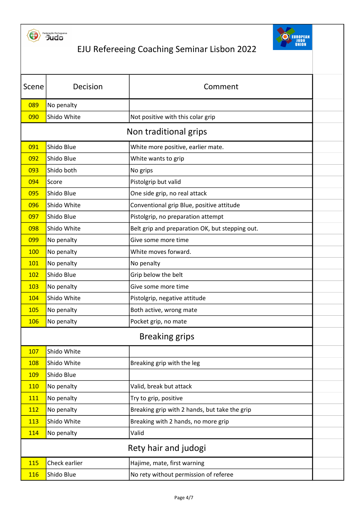



| Scene                 | Decision      | Comment                                         |  |
|-----------------------|---------------|-------------------------------------------------|--|
| 089                   | No penalty    |                                                 |  |
| 090                   | Shido White   | Not positive with this colar grip               |  |
|                       |               | Non traditional grips                           |  |
| 091                   | Shido Blue    | White more positive, earlier mate.              |  |
| 092                   | Shido Blue    | White wants to grip                             |  |
| 093                   | Shido both    | No grips                                        |  |
| 094                   | Score         | Pistolgrip but valid                            |  |
| 095                   | Shido Blue    | One side grip, no real attack                   |  |
| 096                   | Shido White   | Conventional grip Blue, positive attitude       |  |
| 097                   | Shido Blue    | Pistolgrip, no preparation attempt              |  |
| 098                   | Shido White   | Belt grip and preparation OK, but stepping out. |  |
| 099                   | No penalty    | Give some more time                             |  |
| 100                   | No penalty    | White moves forward.                            |  |
| <b>101</b>            | No penalty    | No penalty                                      |  |
| 102                   | Shido Blue    | Grip below the belt                             |  |
| 103                   | No penalty    | Give some more time                             |  |
| 104                   | Shido White   | Pistolgrip, negative attitude                   |  |
| 105                   | No penalty    | Both active, wrong mate                         |  |
| <b>106</b>            | No penalty    | Pocket grip, no mate                            |  |
| <b>Breaking grips</b> |               |                                                 |  |
| 107                   | Shido White   |                                                 |  |
| 108                   | Shido White   | Breaking grip with the leg                      |  |
| <b>109</b>            | Shido Blue    |                                                 |  |
| <b>110</b>            | No penalty    | Valid, break but attack                         |  |
| 111                   | No penalty    | Try to grip, positive                           |  |
| <b>112</b>            | No penalty    | Breaking grip with 2 hands, but take the grip   |  |
| 113                   | Shido White   | Breaking with 2 hands, no more grip             |  |
| 114                   | No penalty    | Valid                                           |  |
| Rety hair and judogi  |               |                                                 |  |
| 115                   | Check earlier | Hajime, mate, first warning                     |  |
| 116                   | Shido Blue    | No rety without permission of referee           |  |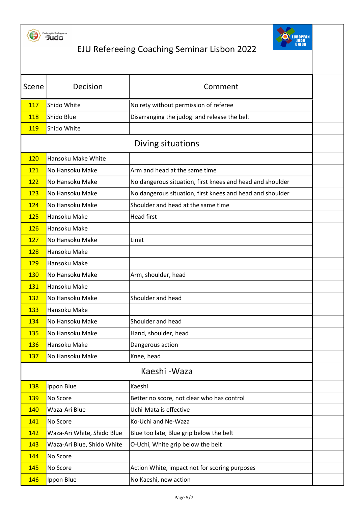



| Scene                     | Decision                   | Comment                                                   |  |  |
|---------------------------|----------------------------|-----------------------------------------------------------|--|--|
| <b>117</b>                | Shido White                | No rety without permission of referee                     |  |  |
| 118                       | Shido Blue                 | Disarranging the judogi and release the belt              |  |  |
| 119                       | Shido White                |                                                           |  |  |
|                           | Diving situations          |                                                           |  |  |
| Hansoku Make White<br>120 |                            |                                                           |  |  |
| 121                       | No Hansoku Make            | Arm and head at the same time                             |  |  |
| 122                       | No Hansoku Make            | No dangerous situation, first knees and head and shoulder |  |  |
| 123                       | No Hansoku Make            | No dangerous situation, first knees and head and shoulder |  |  |
| 124                       | No Hansoku Make            | Shoulder and head at the same time                        |  |  |
| 125                       | Hansoku Make               | <b>Head first</b>                                         |  |  |
| 126                       | Hansoku Make               |                                                           |  |  |
| 127                       | No Hansoku Make            | Limit                                                     |  |  |
| 128                       | Hansoku Make               |                                                           |  |  |
| <b>129</b>                | Hansoku Make               |                                                           |  |  |
| 130                       | No Hansoku Make            | Arm, shoulder, head                                       |  |  |
| 131                       | Hansoku Make               |                                                           |  |  |
| 132                       | No Hansoku Make            | Shoulder and head                                         |  |  |
| 133                       | Hansoku Make               |                                                           |  |  |
| 134                       | No Hansoku Make            | Shoulder and head                                         |  |  |
| 135                       | No Hansoku Make            | Hand, shoulder, head                                      |  |  |
| 136                       | Hansoku Make               | Dangerous action                                          |  |  |
| <b>137</b>                | No Hansoku Make            | Knee, head                                                |  |  |
|                           |                            | Kaeshi - Waza                                             |  |  |
| 138                       | Ippon Blue                 | Kaeshi                                                    |  |  |
| <b>139</b>                | No Score                   | Better no score, not clear who has control                |  |  |
| 140                       | Waza-Ari Blue              | Uchi-Mata is effective                                    |  |  |
| 141                       | No Score                   | Ko-Uchi and Ne-Waza                                       |  |  |
| 142                       | Waza-Ari White, Shido Blue | Blue too late, Blue grip below the belt                   |  |  |
| 143                       | Waza-Ari Blue, Shido White | O-Uchi, White grip below the belt                         |  |  |
| 144                       | No Score                   |                                                           |  |  |
| 145                       | No Score                   | Action White, impact not for scoring purposes             |  |  |
| 146                       | Ippon Blue                 | No Kaeshi, new action                                     |  |  |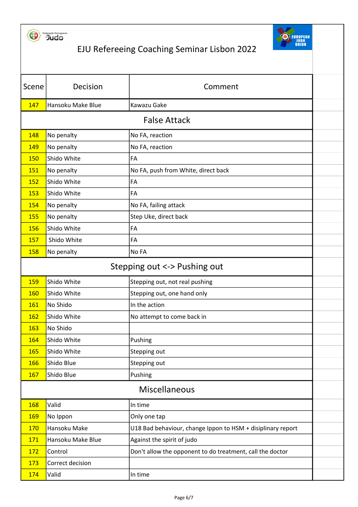



| Scene                        | Decision          | Comment                                                     |  |
|------------------------------|-------------------|-------------------------------------------------------------|--|
| 147                          | Hansoku Make Blue | Kawazu Gake                                                 |  |
|                              |                   | <b>False Attack</b>                                         |  |
| 148                          | No penalty        | No FA, reaction                                             |  |
| 149                          | No penalty        | No FA, reaction                                             |  |
| 150                          | Shido White       | FA                                                          |  |
| 151                          | No penalty        | No FA, push from White, direct back                         |  |
| 152                          | Shido White       | FA                                                          |  |
| <b>153</b>                   | Shido White       | FA                                                          |  |
| 154                          | No penalty        | No FA, failing attack                                       |  |
| 155                          | No penalty        | Step Uke, direct back                                       |  |
| 156                          | Shido White       | FA                                                          |  |
| 157                          | Shido White       | FA                                                          |  |
| 158                          | No penalty        | No FA                                                       |  |
| Stepping out <-> Pushing out |                   |                                                             |  |
| 159                          | Shido White       | Stepping out, not real pushing                              |  |
| <b>160</b>                   | Shido White       | Stepping out, one hand only                                 |  |
| 161                          | No Shido          | In the action                                               |  |
| <b>162</b>                   | Shido White       | No attempt to come back in                                  |  |
| 163                          | No Shido          |                                                             |  |
| 164                          | Shido White       | Pushing                                                     |  |
| 165                          | Shido White       | Stepping out                                                |  |
| <b>166</b>                   | Shido Blue        | Stepping out                                                |  |
| <b>167</b>                   | Shido Blue        | Pushing                                                     |  |
| <b>Miscellaneous</b>         |                   |                                                             |  |
| 168                          | Valid             | In time                                                     |  |
| <b>169</b>                   | No Ippon          | Only one tap                                                |  |
| <b>170</b>                   | Hansoku Make      | U18 Bad behaviour, change Ippon to HSM + disiplinary report |  |
| 171                          | Hansoku Make Blue | Against the spirit of judo                                  |  |
| 172                          | Control           | Don't allow the opponent to do treatment, call the doctor   |  |
| 173                          | Correct decision  |                                                             |  |
| 174                          | Valid             | In time                                                     |  |